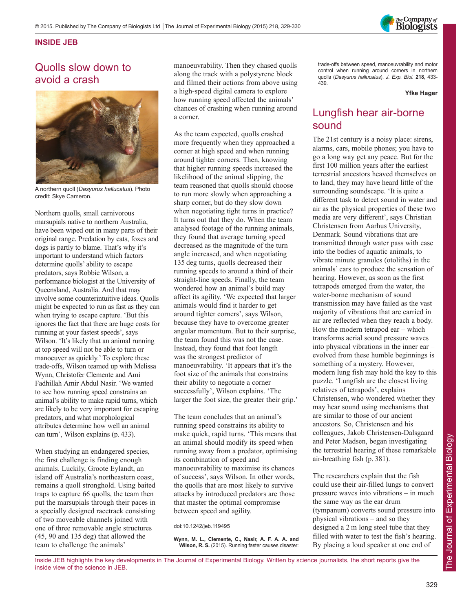

## **INSIDE JEB**

## Quolls slow down to avoid a crash



A northern quoll (*Dasyurus hallucatus*). Photo credit: Skye Cameron.

Northern quolls, small carnivorous marsupials native to northern Australia, have been wiped out in many parts of their original range. Predation by cats, foxes and dogs is partly to blame. That's why it's important to understand which factors determine quolls' ability to escape predators, says Robbie Wilson, a performance biologist at the University of Queensland, Australia. And that may involve some counterintuitive ideas. Quolls might be expected to run as fast as they can when trying to escape capture. 'But this ignores the fact that there are huge costs for running at your fastest speeds', says Wilson. 'It's likely that an animal running at top speed will not be able to turn or manoeuver as quickly.' To explore these trade-offs, Wilson teamed up with Melissa Wynn, Christofer Clemente and Ami Fadhillah Amir Abdul Nasir. 'We wanted to see how running speed constrains an animal's ability to make rapid turns, which are likely to be very important for escaping predators, and what morphological attributes determine how well an animal can turn', Wilson explains (p. 433).

When studying an endangered species, the first challenge is finding enough animals. Luckily, Groote Eylandt, an island off Australia's northeastern coast, remains a quoll stronghold. Using baited traps to capture 66 quolls, the team then put the marsupials through their paces in a specially designed racetrack consisting of two moveable channels joined with one of three removable angle structures (45, 90 and 135 deg) that allowed the team to challenge the animals'

manoeuvrability. Then they chased quolls along the track with a polystyrene block and filmed their actions from above using a high-speed digital camera to explore how running speed affected the animals' chances of crashing when running around a corner.

As the team expected, quolls crashed more frequently when they approached a corner at high speed and when running around tighter corners. Then, knowing that higher running speeds increased the likelihood of the animal slipping, the team reasoned that quolls should choose to run more slowly when approaching a sharp corner, but do they slow down when negotiating tight turns in practice? It turns out that they do. When the team analysed footage of the running animals, they found that average turning speed decreased as the magnitude of the turn angle increased, and when negotiating 135 deg turns, quolls decreased their running speeds to around a third of their straight-line speeds. Finally, the team wondered how an animal's build may affect its agility. 'We expected that larger animals would find it harder to get around tighter corners', says Wilson, because they have to overcome greater angular momentum. But to their surprise, the team found this was not the case. Instead, they found that foot length was the strongest predictor of manoeuvrability. 'It appears that it's the foot size of the animals that constrains their ability to negotiate a corner successfully', Wilson explains. 'The larger the foot size, the greater their grip.'

The team concludes that an animal's running speed constrains its ability to make quick, rapid turns. 'This means that an animal should modify its speed when running away from a predator, optimising its combination of speed and manoeuvrability to maximise its chances of success', says Wilson. In other words, the quolls that are most likely to survive attacks by introduced predators are those that master the optimal compromise between speed and agility.

doi:10.1242/jeb.119495

**Wynn, M. L., Clemente, C., Nasir, A. F. A. A. and Wilson, R. S.** (2015). Running faster causes disaster: trade-offs between speed, manoeuvrability and motor control when running around corners in northern quolls (*Dasyurus hallucatus*). *J. Exp. Biol.* **218**, 433- 439.

**Yfke Hager**

## Lungfish hear air-borne sound

The 21st century is a noisy place: sirens, alarms, cars, mobile phones; you have to go a long way get any peace. But for the first 100 million years after the earliest terrestrial ancestors heaved themselves on to land, they may have heard little of the surrounding soundscape. 'It is quite a different task to detect sound in water and air as the physical properties of these two media are very different', says Christian Christensen from Aarhus University, Denmark. Sound vibrations that are transmitted through water pass with ease into the bodies of aquatic animals, to vibrate minute granules (otoliths) in the animals' ears to produce the sensation of hearing. However, as soon as the first tetrapods emerged from the water, the water-borne mechanism of sound transmission may have failed as the vast majority of vibrations that are carried in air are reflected when they reach a body. How the modern tetrapod ear – which transforms aerial sound pressure waves into physical vibrations in the inner ear – evolved from these humble beginnings is something of a mystery. However, modern lung fish may hold the key to this puzzle. 'Lungfish are the closest living relatives of tetrapods', explains Christensen, who wondered whether they may hear sound using mechanisms that are similar to those of our ancient ancestors. So, Christensen and his colleagues, Jakob Christensen-Dalsgaard and Peter Madsen, began investigating the terrestrial hearing of these remarkable air-breathing fish (p. 381).

The researchers explain that the fish could use their air-filled lungs to convert pressure waves into vibrations – in much the same way as the ear drum (tympanum) converts sound pressure into physical vibrations – and so they designed a 2 m long steel tube that they filled with water to test the fish's hearing. By placing a loud speaker at one end of